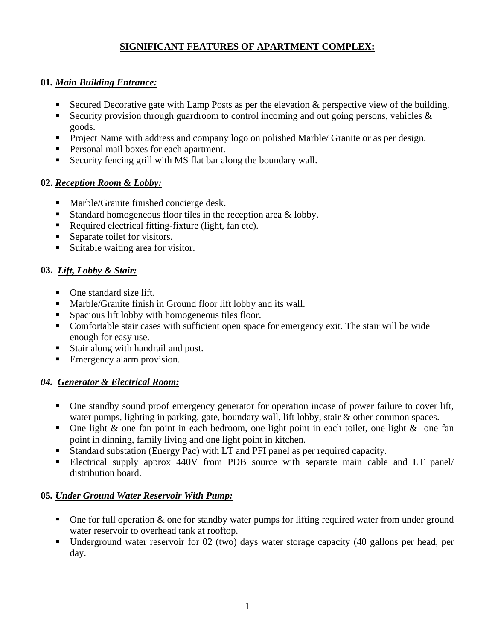# **SIGNIFICANT FEATURES OF APARTMENT COMPLEX:**

### **01***. Main Building Entrance:*

- Secured Decorative gate with Lamp Posts as per the elevation & perspective view of the building.
- Security provision through guardroom to control incoming and out going persons, vehicles  $\&$ goods.
- **Project Name with address and company logo on polished Marble/ Granite or as per design.**
- **Personal mail boxes for each apartment.**
- Security fencing grill with MS flat bar along the boundary wall.

## **02.** *Reception Room & Lobby:*

- Marble/Granite finished concierge desk.
- Standard homogeneous floor tiles in the reception area & lobby.
- Required electrical fitting-fixture (light, fan etc).
- Separate toilet for visitors.
- Suitable waiting area for visitor.

## **03.** *Lift, Lobby & Stair:*

- One standard size lift.
- Marble/Granite finish in Ground floor lift lobby and its wall.
- Spacious lift lobby with homogeneous tiles floor.
- Comfortable stair cases with sufficient open space for emergency exit. The stair will be wide enough for easy use.
- Stair along with handrail and post.
- **Emergency alarm provision.**

## *04. Generator & Electrical Room:*

- One standby sound proof emergency generator for operation incase of power failure to cover lift, water pumps, lighting in parking, gate, boundary wall, lift lobby, stair & other common spaces.
- One light  $\&$  one fan point in each bedroom, one light point in each toilet, one light  $\&$  one fan point in dinning, family living and one light point in kitchen.
- Standard substation (Energy Pac) with LT and PFI panel as per required capacity.
- Electrical supply approx 440V from PDB source with separate main cable and LT panel/ distribution board.

## **05***. Under Ground Water Reservoir With Pump:*

- $\blacksquare$  One for full operation  $\&$  one for standby water pumps for lifting required water from under ground water reservoir to overhead tank at rooftop.
- Underground water reservoir for 02 (two) days water storage capacity (40 gallons per head, per day.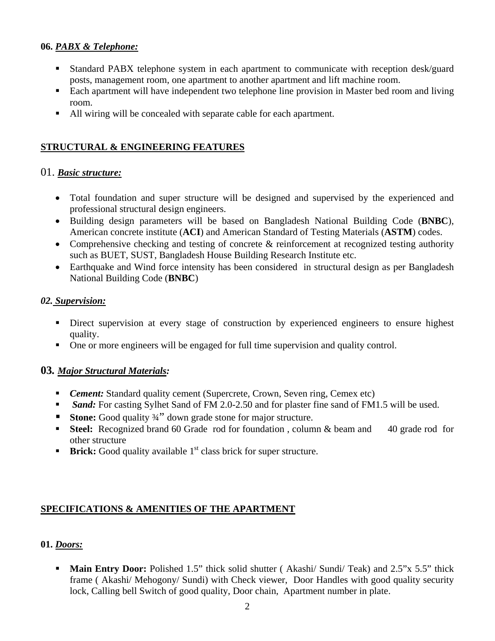### **06.** *PABX & Telephone:*

- Standard PABX telephone system in each apartment to communicate with reception desk/guard posts, management room, one apartment to another apartment and lift machine room.
- Each apartment will have independent two telephone line provision in Master bed room and living room.
- All wiring will be concealed with separate cable for each apartment.

### **STRUCTURAL & ENGINEERING FEATURES**

#### 01. *Basic structure:*

- Total foundation and super structure will be designed and supervised by the experienced and professional structural design engineers.
- Building design parameters will be based on Bangladesh National Building Code (**BNBC**), American concrete institute (**ACI**) and American Standard of Testing Materials (**ASTM**) codes.
- Comprehensive checking and testing of concrete & reinforcement at recognized testing authority such as BUET, SUST, Bangladesh House Building Research Institute etc.
- Earthquake and Wind force intensity has been considered in structural design as per Bangladesh National Building Code (**BNBC**)

#### *02. Supervision:*

- Direct supervision at every stage of construction by experienced engineers to ensure highest quality.
- One or more engineers will be engaged for full time supervision and quality control.

## **03***. Major Structural Materials:*

- **Cement:** Standard quality cement (Supercrete, Crown, Seven ring, Cemex etc)
- *Sand:* For casting Sylhet Sand of FM 2.0-2.50 and for plaster fine sand of FM1.5 will be used.
- **Stone:** Good quality 34" down grade stone for major structure.
- **Steel:** Recognized brand 60 Grade rod for foundation, column & beam and 40 grade rod for other structure
- **Brick:** Good quality available 1<sup>st</sup> class brick for super structure.

#### **SPECIFICATIONS & AMENITIES OF THE APARTMENT**

#### **01.** *Doors:*

**Main Entry Door:** Polished 1.5" thick solid shutter (Akashi/ Sundi/ Teak) and 2.5"x 5.5" thick frame ( Akashi/ Mehogony/ Sundi) with Check viewer, Door Handles with good quality security lock, Calling bell Switch of good quality, Door chain, Apartment number in plate.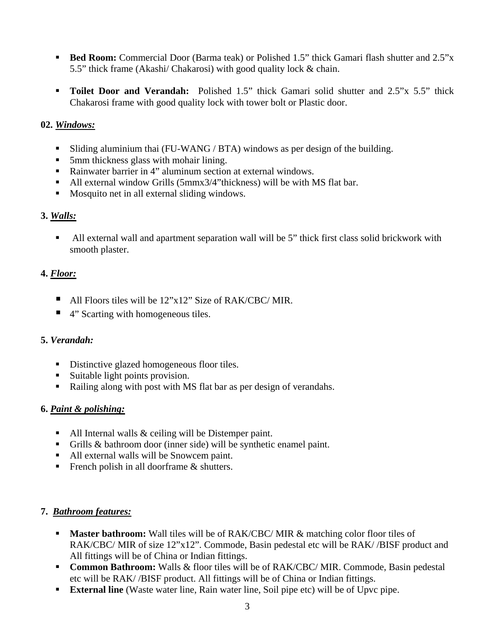- **Bed Room:** Commercial Door (Barma teak) or Polished 1.5" thick Gamari flash shutter and 2.5"x 5.5" thick frame (Akashi/ Chakarosi) with good quality lock & chain.
- **Toilet Door and Verandah:** Polished 1.5" thick Gamari solid shutter and 2.5"x 5.5" thick Chakarosi frame with good quality lock with tower bolt or Plastic door.

### **02.** *Windows:*

- Sliding aluminium thai (FU-WANG / BTA) windows as per design of the building.
- 5mm thickness glass with mohair lining.
- Rainwater barrier in 4" aluminum section at external windows.
- All external window Grills (5mmx3/4"thickness) will be with MS flat bar.
- Mosquito net in all external sliding windows.

## **3.** *Walls:*

• All external wall and apartment separation wall will be 5" thick first class solid brickwork with smooth plaster.

# **4.** *Floor:*

- All Floors tiles will be  $12^{\prime\prime}x12^{\prime\prime}$  Size of RAK/CBC/MIR.
- 4" Scarting with homogeneous tiles.

## **5.** *Verandah:*

- Distinctive glazed homogeneous floor tiles.
- Suitable light points provision.
- Railing along with post with MS flat bar as per design of verandahs.

## **6.** *Paint & polishing:*

- All Internal walls & ceiling will be Distemper paint.
- Grills & bathroom door (inner side) will be synthetic enamel paint.
- All external walls will be Snowcem paint.
- French polish in all doorframe  $&$  shutters.

## **7.** *Bathroom features:*

- **Master bathroom:** Wall tiles will be of RAK/CBC/MIR & matching color floor tiles of RAK/CBC/ MIR of size 12"x12". Commode, Basin pedestal etc will be RAK//BISF product and All fittings will be of China or Indian fittings.
- **Common Bathroom:** Walls & floor tiles will be of RAK/CBC/ MIR. Commode, Basin pedestal etc will be RAK/ /BISF product. All fittings will be of China or Indian fittings.
- **External line** (Waste water line, Rain water line, Soil pipe etc) will be of Upvc pipe.